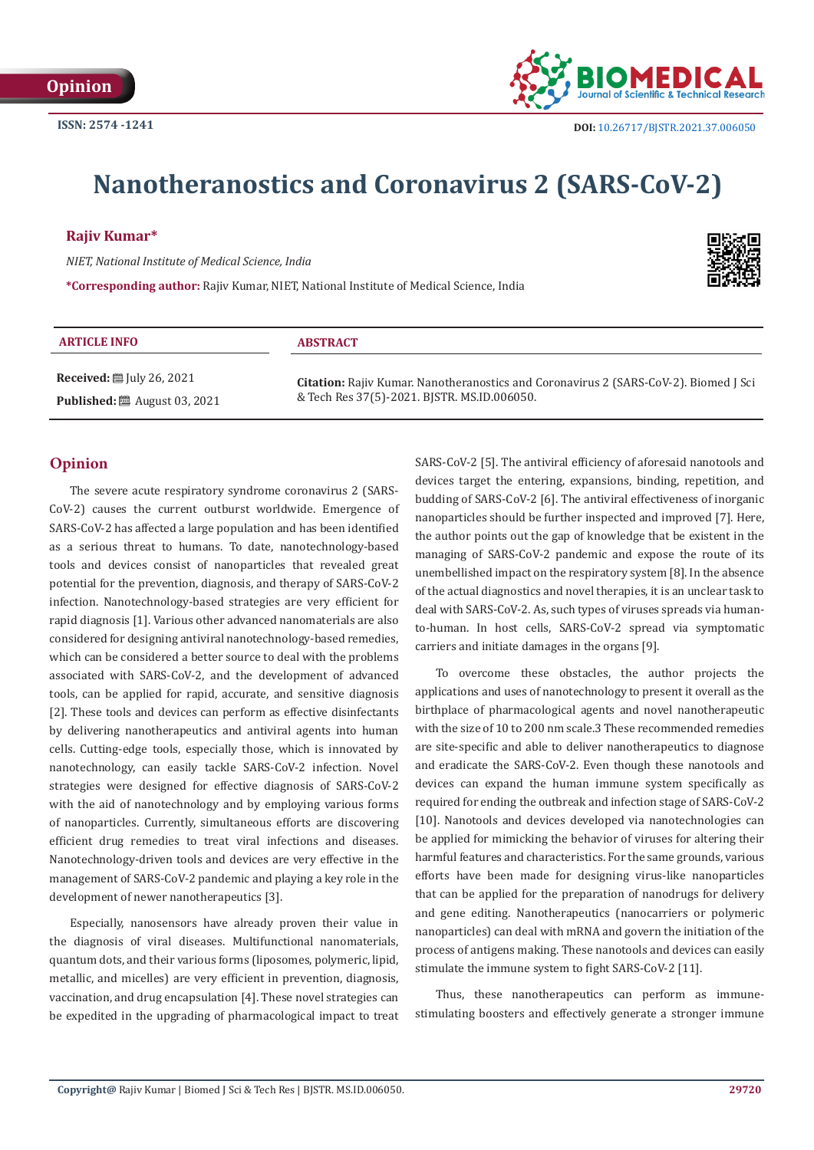

# **Nanotheranostics and Coronavirus 2 (SARS-CoV-2)**

### **Rajiv Kumar\***

*NIET, National Institute of Medical Science, India*

**\*Corresponding author:** Rajiv Kumar, NIET, National Institute of Medical Science, India



| <b>ARTICLE INFO</b>                            | <b>ABSTRACT</b>                                                                             |
|------------------------------------------------|---------------------------------------------------------------------------------------------|
| <b>Received:</b> $\mathbb{I}$ July 26, 2021    | <b>Citation:</b> Rajiv Kumar. Nanotheranostics and Coronavirus 2 (SARS-CoV-2). Biomed J Sci |
| <b>Published:</b> $\ddot{\Xi}$ August 03, 2021 | & Tech Res 37(5)-2021. BJSTR. MS.ID.006050.                                                 |

## **Opinion**

The severe acute respiratory syndrome coronavirus 2 (SARS-CoV-2) causes the current outburst worldwide. Emergence of SARS-CoV-2 has affected a large population and has been identified as a serious threat to humans. To date, nanotechnology-based tools and devices consist of nanoparticles that revealed great potential for the prevention, diagnosis, and therapy of SARS-CoV-2 infection. Nanotechnology-based strategies are very efficient for rapid diagnosis [1]. Various other advanced nanomaterials are also considered for designing antiviral nanotechnology-based remedies, which can be considered a better source to deal with the problems associated with SARS-CoV-2, and the development of advanced tools, can be applied for rapid, accurate, and sensitive diagnosis [2]. These tools and devices can perform as effective disinfectants by delivering nanotherapeutics and antiviral agents into human cells. Cutting-edge tools, especially those, which is innovated by nanotechnology, can easily tackle SARS-CoV-2 infection. Novel strategies were designed for effective diagnosis of SARS-CoV-2 with the aid of nanotechnology and by employing various forms of nanoparticles. Currently, simultaneous efforts are discovering efficient drug remedies to treat viral infections and diseases. Nanotechnology-driven tools and devices are very effective in the management of SARS-CoV-2 pandemic and playing a key role in the development of newer nanotherapeutics [3].

Especially, nanosensors have already proven their value in the diagnosis of viral diseases. Multifunctional nanomaterials, quantum dots, and their various forms (liposomes, polymeric, lipid, metallic, and micelles) are very efficient in prevention, diagnosis, vaccination, and drug encapsulation [4]. These novel strategies can be expedited in the upgrading of pharmacological impact to treat SARS-CoV-2 [5]. The antiviral efficiency of aforesaid nanotools and devices target the entering, expansions, binding, repetition, and budding of SARS-CoV-2 [6]. The antiviral effectiveness of inorganic nanoparticles should be further inspected and improved [7]. Here, the author points out the gap of knowledge that be existent in the managing of SARS-CoV-2 pandemic and expose the route of its unembellished impact on the respiratory system [8]. In the absence of the actual diagnostics and novel therapies, it is an unclear task to deal with SARS-CoV-2. As, such types of viruses spreads via humanto-human. In host cells, SARS-CoV-2 spread via symptomatic carriers and initiate damages in the organs [9].

To overcome these obstacles, the author projects the applications and uses of nanotechnology to present it overall as the birthplace of pharmacological agents and novel nanotherapeutic with the size of 10 to 200 nm scale.3 These recommended remedies are site-specific and able to deliver nanotherapeutics to diagnose and eradicate the SARS-CoV-2. Even though these nanotools and devices can expand the human immune system specifically as required for ending the outbreak and infection stage of SARS-CoV-2 [10]. Nanotools and devices developed via nanotechnologies can be applied for mimicking the behavior of viruses for altering their harmful features and characteristics. For the same grounds, various efforts have been made for designing virus-like nanoparticles that can be applied for the preparation of nanodrugs for delivery and gene editing. Nanotherapeutics (nanocarriers or polymeric nanoparticles) can deal with mRNA and govern the initiation of the process of antigens making. These nanotools and devices can easily stimulate the immune system to fight SARS-CoV-2 [11].

Thus, these nanotherapeutics can perform as immunestimulating boosters and effectively generate a stronger immune